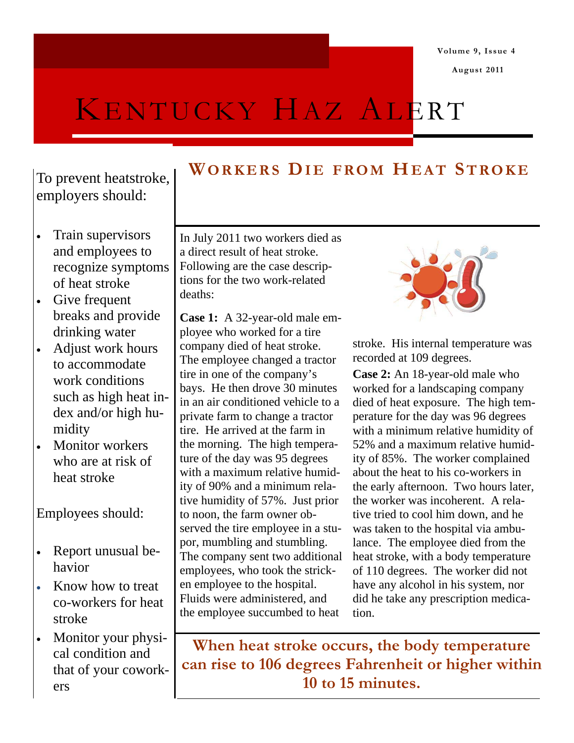**August 2011** 

# KENTUCKY HAZ ALERT

To prevent heatstroke, employers should:

- Train supervisors and employees to recognize symptoms of heat stroke
- Give frequent breaks and provide drinking water
- Adjust work hours to accommodate work conditions such as high heat index and/or high humidity
- Monitor workers who are at risk of heat stroke

Employees should:

- Report unusual behavior
- Know how to treat co-workers for heat stroke
- Monitor your physical condition and that of your coworkers

# **WORKERS DIE FROM HEAT STROKE**

In July 2011 two workers died as a direct result of heat stroke. Following are the case descriptions for the two work-related deaths:

**Case 1:** A 32-year-old male employee who worked for a tire company died of heat stroke. The employee changed a tractor tire in one of the company's bays. He then drove 30 minutes in an air conditioned vehicle to a private farm to change a tractor tire. He arrived at the farm in the morning. The high temperature of the day was 95 degrees with a maximum relative humidity of 90% and a minimum relative humidity of 57%. Just prior to noon, the farm owner observed the tire employee in a stupor, mumbling and stumbling. The company sent two additional employees, who took the stricken employee to the hospital. Fluids were administered, and the employee succumbed to heat



stroke. His internal temperature was recorded at 109 degrees.

**Case 2:** An 18-year-old male who worked for a landscaping company died of heat exposure. The high temperature for the day was 96 degrees with a minimum relative humidity of 52% and a maximum relative humidity of 85%. The worker complained about the heat to his co-workers in the early afternoon. Two hours later, the worker was incoherent. A relative tried to cool him down, and he was taken to the hospital via ambulance. The employee died from the heat stroke, with a body temperature of 110 degrees. The worker did not have any alcohol in his system, nor did he take any prescription medication.

**When heat stroke occurs, the body temperature can rise to 106 degrees Fahrenheit or higher within 10 to 15 minutes.**